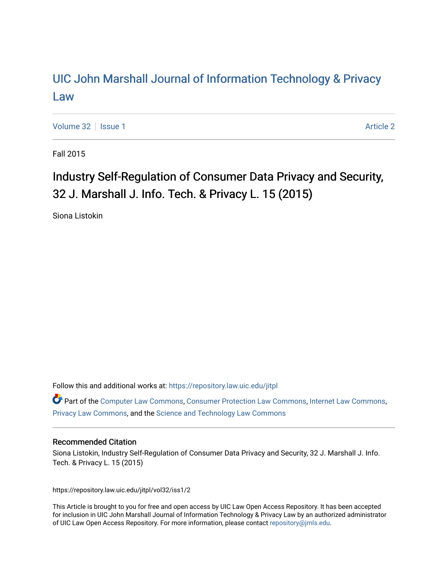# [UIC John Marshall Journal of Information Technology & Privacy](https://repository.law.uic.edu/jitpl)  [Law](https://repository.law.uic.edu/jitpl)

[Volume 32](https://repository.law.uic.edu/jitpl/vol32) | [Issue 1](https://repository.law.uic.edu/jitpl/vol32/iss1) [Article 2](https://repository.law.uic.edu/jitpl/vol32/iss1/2) | Article 2 | Article 2 | Article 2 | Article 2 | Article 2 | Article 2 | Article 2

Fall 2015

# Industry Self-Regulation of Consumer Data Privacy and Security, 32 J. Marshall J. Info. Tech. & Privacy L. 15 (2015)

Siona Listokin

Follow this and additional works at: [https://repository.law.uic.edu/jitpl](https://repository.law.uic.edu/jitpl?utm_source=repository.law.uic.edu%2Fjitpl%2Fvol32%2Fiss1%2F2&utm_medium=PDF&utm_campaign=PDFCoverPages) 

Part of the [Computer Law Commons,](http://network.bepress.com/hgg/discipline/837?utm_source=repository.law.uic.edu%2Fjitpl%2Fvol32%2Fiss1%2F2&utm_medium=PDF&utm_campaign=PDFCoverPages) [Consumer Protection Law Commons,](http://network.bepress.com/hgg/discipline/838?utm_source=repository.law.uic.edu%2Fjitpl%2Fvol32%2Fiss1%2F2&utm_medium=PDF&utm_campaign=PDFCoverPages) [Internet Law Commons,](http://network.bepress.com/hgg/discipline/892?utm_source=repository.law.uic.edu%2Fjitpl%2Fvol32%2Fiss1%2F2&utm_medium=PDF&utm_campaign=PDFCoverPages) [Privacy Law Commons,](http://network.bepress.com/hgg/discipline/1234?utm_source=repository.law.uic.edu%2Fjitpl%2Fvol32%2Fiss1%2F2&utm_medium=PDF&utm_campaign=PDFCoverPages) and the [Science and Technology Law Commons](http://network.bepress.com/hgg/discipline/875?utm_source=repository.law.uic.edu%2Fjitpl%2Fvol32%2Fiss1%2F2&utm_medium=PDF&utm_campaign=PDFCoverPages) 

### Recommended Citation

Siona Listokin, Industry Self-Regulation of Consumer Data Privacy and Security, 32 J. Marshall J. Info. Tech. & Privacy L. 15 (2015)

https://repository.law.uic.edu/jitpl/vol32/iss1/2

This Article is brought to you for free and open access by UIC Law Open Access Repository. It has been accepted for inclusion in UIC John Marshall Journal of Information Technology & Privacy Law by an authorized administrator of UIC Law Open Access Repository. For more information, please contact [repository@jmls.edu](mailto:repository@jmls.edu).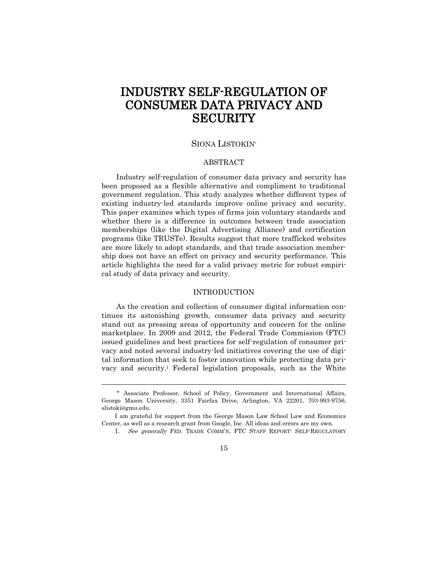# INDUSTRY SELF-REGULATION OF CONSUMER DATA PRIVACY AND **SECURITY**

## SIONA LISTOKIN\*

### ABSTRACT

Industry self-regulation of consumer data privacy and security has been proposed as a flexible alternative and compliment to traditional government regulation. This study analyzes whether different types of existing industry-led standards improve online privacy and security. This paper examines which types of firms join voluntary standards and whether there is a difference in outcomes between trade association memberships (like the Digital Advertising Alliance) and certification programs (like TRUSTe). Results suggest that more trafficked websites are more likely to adopt standards, and that trade association membership does not have an effect on privacy and security performance. This article highlights the need for a valid privacy metric for robust empirical study of data privacy and security.

### INTRODUCTION

As the creation and collection of consumer digital information continues its astonishing growth, consumer data privacy and security stand out as pressing areas of opportunity and concern for the online marketplace. In 2009 and 2012, the Federal Trade Commission (FTC) issued guidelines and best practices for self-regulation of consumer privacy and noted several industry-led initiatives covering the use of digital information that seek to foster innovation while protecting data privacy and security.<sup>1</sup> Federal legislation proposals, such as the White

<sup>\*</sup> Associate Professor, School of Policy, Government and International Affairs, George Mason University, 3351 Fairfax Drive, Arlington, VA 22201, 703-993-9756, slistoki@gmu.edu.

I am grateful for support from the George Mason Law School Law and Economics Center, as well as a research grant from Google, Inc. All ideas and errors are my own.

<sup>1.</sup> See generally FED. TRADE COMM'N, FTC STAFF REPORT: SELF-REGULATORY

<sup>15</sup>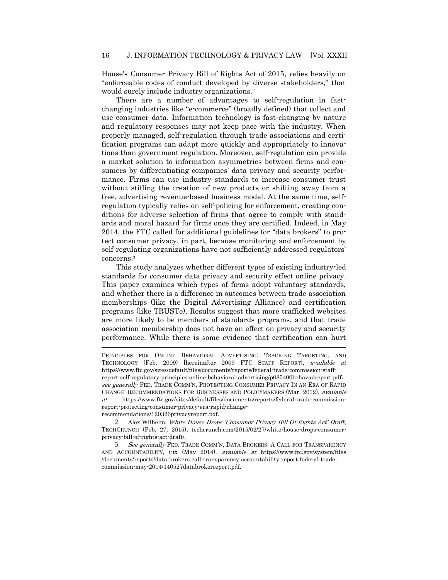House's Consumer Privacy Bill of Rights Act of 2015, relies heavily on "enforceable codes of conduct developed by diverse stakeholders," that would surely include industry organizations.<sup>2</sup>

There are a number of advantages to self-regulation in fastchanging industries like "e-commerce" (broadly defined) that collect and use consumer data. Information technology is fast-changing by nature and regulatory responses may not keep pace with the industry. When properly managed, self-regulation through trade associations and certification programs can adapt more quickly and appropriately to innovations than government regulation. Moreover, self-regulation can provide a market solution to information asymmetries between firms and consumers by differentiating companies' data privacy and security performance. Firms can use industry standards to increase consumer trust without stifling the creation of new products or shifting away from a free, advertising revenue-based business model. At the same time, selfregulation typically relies on self-policing for enforcement, creating conditions for adverse selection of firms that agree to comply with standards and moral hazard for firms once they are certified. Indeed, in May 2014, the FTC called for additional guidelines for "data brokers" to protect consumer privacy, in part, because monitoring and enforcement by self-regulating organizations have not sufficiently addressed regulators' concerns. 3

This study analyzes whether different types of existing industry-led standards for consumer data privacy and security effect online privacy. This paper examines which types of firms adopt voluntary standards, and whether there is a difference in outcomes between trade association memberships (like the Digital Advertising Alliance) and certification programs (like TRUSTe). Results suggest that more trafficked websites are more likely to be members of standards programs, and that trade association membership does not have an effect on privacy and security performance. While there is some evidence that certification can hurt

PRINCIPLES FOR ONLINE BEHAVIORAL ADVERTISING: TRACKING TARGETING, AND TECHNOLOGY (Feb. 2009) [hereinafter 2009 FTC STAFF REPORT], available at https://www.ftc.gov/sites/default/files/documents/reports/federal-trade-commission-staffreport-self-regulatory-principles-online-behavioral-advertising/p085400behavadreport.pdf; see generally FED. TRADE COMM'N, PROTECTING CONSUMER PRIVACY IN AN ERA OF RAPID CHANGE: RECOMMENDATIONS FOR BUSINESSES AND POLICYMAKERS (Mar. 2012), available at https://www.ftc.gov/sites/default/files/documents/reports/federal-trade-commissionreport-protecting-consumer-privacy-era-rapid-changerecommendations/120326privacyreport.pdf.

 $\ddot{\phantom{a}}$ 

2. Alex Wilhelm, White House Drops 'Consumer Privacy Bill Of Rights Act' Draft, TECHCRUNCH (Feb. 27, 2015), techcrunch.com/2015/02/27/white-house-drops-consumerprivacy-bill-of-rights-act-draft/.

3. See generally FED. TRADE COMM'N, DATA BROKERS: A CALL FOR TRANSPARENCY AND ACCOUNTABILITY, i-ix (May 2014), *available at* https://www.ftc.gov/system/files /documents/reports/data-brokers-call-transparency-accountability-report-federal-tradecommission-may-2014/140527databrokerreport.pdf.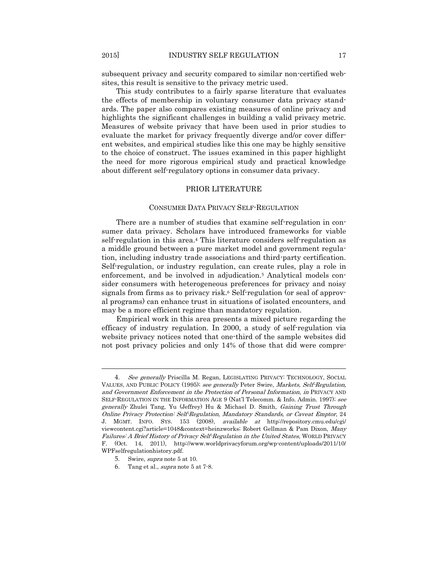subsequent privacy and security compared to similar non-certified websites, this result is sensitive to the privacy metric used.

This study contributes to a fairly sparse literature that evaluates the effects of membership in voluntary consumer data privacy standards. The paper also compares existing measures of online privacy and highlights the significant challenges in building a valid privacy metric. Measures of website privacy that have been used in prior studies to evaluate the market for privacy frequently diverge and/or cover different websites, and empirical studies like this one may be highly sensitive to the choice of construct. The issues examined in this paper highlight the need for more rigorous empirical study and practical knowledge about different self-regulatory options in consumer data privacy.

### PRIOR LITERATURE

### CONSUMER DATA PRIVACY SELF-REGULATION

There are a number of studies that examine self-regulation in consumer data privacy. Scholars have introduced frameworks for viable self-regulation in this area.<sup>4</sup> This literature considers self-regulation as a middle ground between a pure market model and government regulation, including industry trade associations and third-party certification. Self-regulation, or industry regulation, can create rules, play a role in enforcement, and be involved in adjudication.<sup>5</sup> Analytical models consider consumers with heterogeneous preferences for privacy and noisy signals from firms as to privacy risk.<sup>6</sup> Self-regulation (or seal of approval programs) can enhance trust in situations of isolated encounters, and may be a more efficient regime than mandatory regulation.

Empirical work in this area presents a mixed picture regarding the efficacy of industry regulation. In 2000, a study of self-regulation via website privacy notices noted that one-third of the sample websites did not post privacy policies and only 14% of those that did were compre-

<sup>4.</sup> See generally Priscilla M. Regan, LEGISLATING PRIVACY: TECHNOLOGY, SOCIAL VALUES, AND PUBLIC POLICY (1995); see generally Peter Swire, Markets, Self-Regulation, and Government Enforcement in the Protection of Personal Information, in PRIVACY AND SELF-REGULATION IN THE INFORMATION AGE 9 (Nat'l Telecomm. & Info. Admin. 1997); see generally Zhulei Tang, Yu (Jeffrey) Hu & Michael D. Smith, Gaining Trust Through Online Privacy Protection: Self-Regulation, Mandatory Standards, or Caveat Emptor, 24 J. MGMT. INFO. SYS. 153 (2008), available at http://repository.cmu.edu/cgi/ viewcontent.cgi?article=1048&context=heinzworks; Robert Gellman & Pam Dixon, Many Failures: A Brief History of Privacy Self-Regulation in the United States, WORLD PRIVACY F. (Oct. 14, 2011), http://www.worldprivacyforum.org/wp-content/uploads/2011/10/ WPFselfregulationhistory.pdf.

<sup>5</sup>. Swire, supra note 5 at 10.

<sup>6</sup>. Tang et al., supra note 5 at 7-8.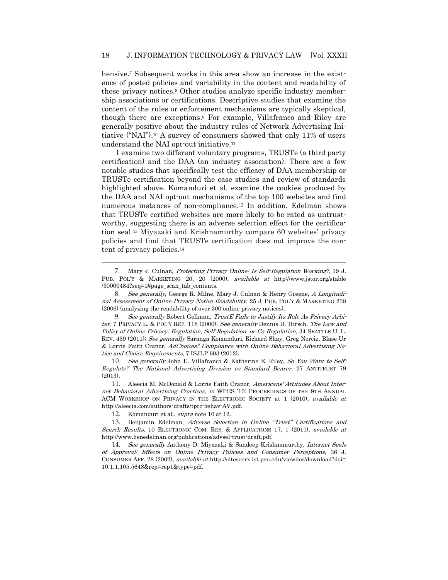hensive.<sup>7</sup> Subsequent works in this area show an increase in the existence of posted policies and variability in the content and readability of these privacy notices.<sup>8</sup> Other studies analyze specific industry membership associations or certifications. Descriptive studies that examine the content of the rules or enforcement mechanisms are typically skeptical, though there are exceptions. <sup>9</sup> For example, Villafranco and Riley are generally positive about the industry rules of Network Advertising Initiative ("NAI"). <sup>10</sup> A survey of consumers showed that only 11% of users understand the NAI opt-out initiative.<sup>11</sup>

I examine two different voluntary programs, TRUSTe (a third party certification) and the DAA (an industry association). There are a few notable studies that specifically test the efficacy of DAA membership or TRUSTe certification beyond the case studies and review of standards highlighted above. Komanduri et al. examine the cookies produced by the DAA and NAI opt-out mechanisms of the top 100 websites and find numerous instances of non-compliance.<sup>12</sup> In addition, Edelman shows that TRUSTe certified websites are more likely to be rated as untrustworthy, suggesting there is an adverse selection effect for the certificationtion seal.<sup>13</sup> Miyazaki and Krishnamurthy compare 60 websites' privacy policies and find that TRUSTe certification does not improve the content of privacy policies.<sup>14</sup>

9. See generally Robert Gellman, TrustE Fails to Justify Its Role As Privacy Arbiter, 7 PRIVACY L. & POL'Y REP. 118 (2000); See generally Dennis D. Hirsch, The Law and Policy of Online Privacy: Regulation, Self-Regulation, or Co-Regulation, 34 SEATTLE U. L. REV. 439 (2011); See generally Saranga Komanduri, Richard Shay, Greg Norcie, Blase Ur & Lorrie Faith Cranor, AdChoices? Compliance with Online Behavioral Advertising Notice and Choice Requirements, 7 ISJLP 603 (2012).

10. See generally John E. Villafranco & Katherine E. Riley, So You Want to Self-Regulate? The National Advertising Division as Standard Bearer, 27 ANTITRUST 79 (2013).

11. Aleecia M. McDonald & Lorrie Faith Cranor, Americans' Attitudes About Internet Behavioral Advertising Practices, in WPES '10: PROCEEDINGS OF THE 9TH ANNUAL ACM WORKSHOP ON PRIVACY IN THE ELECTRONIC SOCIETY at 1 (2010), available at http://aleecia.com/authors-drafts/tprc-behav-AV.pdf.

12. Komanduri et al., supra note 10 at 12.

 $\overline{a}$ 

13. Benjamin Edelman, Adverse Selection in Online "Trust" Certifications and Search Results, 10 ELECTRONIC COM. RES. & APPLICATIONS 17, 1 (2011), available at http://www.benedelman.org/publications/advsel-trust-draft.pdf.

14. See generally Anthony D. Miyazaki & Sandeep Krishnamurthy, Internet Seals of Approval: Effects on Online Privacy Policies and Consumer Perceptions, 36 J. CONSUMER AFF. 28 (2002), available at http://citeseerx.ist.psu.edu/viewdoc/download?doi= 10.1.1.105.5648&rep=rep1&type=pdf.

<sup>7</sup>. Mary J. Culnan, Protecting Privacy Online: Is Self-Regulation Working?, 19 J. PUB. POL'Y & MARKETING 20, 20 (2000), available at http://www.jstor.org/stable /30000484?seq=1#page\_scan\_tab\_contents.

<sup>8</sup>. See generally, George R. Milne, Mary J. Culnan & Henry Greene, A Longitudinal Assessment of Online Privacy Notice Readability, 25 J. PUB. POL'Y & MARKETING 238 (2006) (analyzing the readability of over 300 online privacy notices).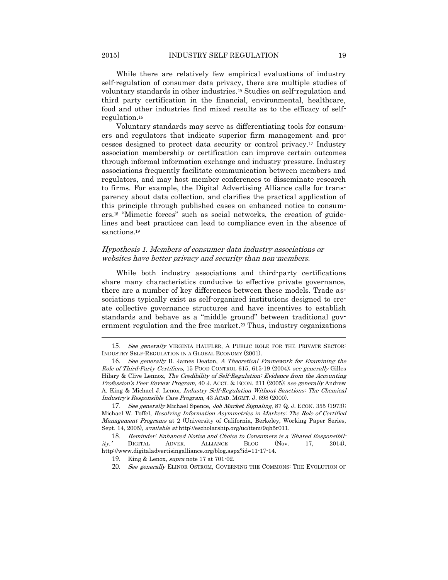While there are relatively few empirical evaluations of industry self-regulation of consumer data privacy, there are multiple studies of voluntary standards in other industries. <sup>15</sup> Studies on self-regulation and third party certification in the financial, environmental, healthcare, food and other industries find mixed results as to the efficacy of selfregulation.<sup>16</sup>

Voluntary standards may serve as differentiating tools for consumers and regulators that indicate superior firm management and processes designed to protect data security or control privacy.<sup>17</sup> Industry association membership or certification can improve certain outcomes through informal information exchange and industry pressure. Industry associations frequently facilitate communication between members and regulators, and may host member conferences to disseminate research to firms. For example, the Digital Advertising Alliance calls for transparency about data collection, and clarifies the practical application of this principle through published cases on enhanced notice to consumers.<sup>18</sup> "Mimetic forces" such as social networks, the creation of guidelines and best practices can lead to compliance even in the absence of sanctions.<sup>19</sup>

### Hypothesis 1. Members of consumer data industry associations or websites have better privacy and security than non-members.

While both industry associations and third-party certifications share many characteristics conducive to effective private governance, there are a number of key differences between these models. Trade associations typically exist as self-organized institutions designed to create collective governance structures and have incentives to establish standards and behave as a "middle ground" between traditional government regulation and the free market. <sup>20</sup> Thus, industry organizations

 $\overline{a}$ 

20. See generally ELINOR OSTROM, GOVERNING THE COMMONS: THE EVOLUTION OF

<sup>15.</sup> See generally VIRGINIA HAUFLER, A PUBLIC ROLE FOR THE PRIVATE SECTOR: INDUSTRY SELF-REGULATION IN A GLOBAL ECONOMY (2001).

<sup>16</sup>. See generally B. James Deaton, A Theoretical Framework for Examining the Role of Third-Party Certifiers, 15 FOOD CONTROL 615, 615-19 (2004); see generally Gilles Hilary & Clive Lennox, The Credibility of Self-Regulation: Evidence from the Accounting Profession's Peer Review Program, 40 J. ACCT. & ECON. 211 (2005); see generally Andrew A. King & Michael J. Lenox, Industry Self-Regulation Without Sanctions: The Chemical Industry's Responsible Care Program, 43 ACAD. MGMT. J. 698 (2000).

<sup>17.</sup> See generally Michael Spence, Job Market Signaling, 87 Q. J. ECON. 355 (1973); Michael W. Toffel, Resolving Information Asymmetries in Markets: The Role of Certified Management Programs at 2 (University of California, Berkeley, Working Paper Series, Sept. 14, 2005), available at http://escholarship.org/uc/item/9qh5r011.

<sup>18.</sup> Reminder: Enhanced Notice and Choice to Consumers is a 'Shared Responsibil-<br>
CONSITION: THE PLOG (Nov. 17, 2014), ity,' DIGITAL ADVER. ALLIANCE BLOG (Nov. 17, 2014), http://www.digitaladvertisingalliance.org/blog.aspx?id=11-17-14.

<sup>19</sup>. King & Lenox, supra note 17 at 701-02.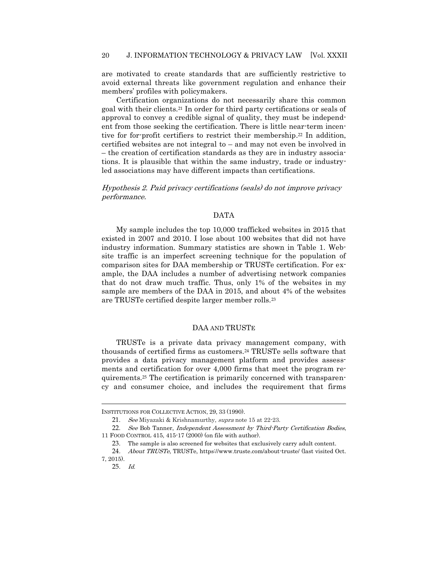are motivated to create standards that are sufficiently restrictive to avoid external threats like government regulation and enhance their members' profiles with policymakers.

Certification organizations do not necessarily share this common goal with their clients.<sup>21</sup> In order for third party certifications or seals of approval to convey a credible signal of quality, they must be independent from those seeking the certification. There is little near-term incentive for for-profit certifiers to restrict their membership. <sup>22</sup> In addition, certified websites are not integral to – and may not even be involved in – the creation of certification standards as they are in industry associations. It is plausible that within the same industry, trade or industryled associations may have different impacts than certifications.

Hypothesis 2. Paid privacy certifications (seals) do not improve privacy performance.

#### DATA

My sample includes the top 10,000 trafficked websites in 2015 that existed in 2007 and 2010. I lose about 100 websites that did not have industry information. Summary statistics are shown in Table 1. Website traffic is an imperfect screening technique for the population of comparison sites for DAA membership or TRUSTe certification. For example, the DAA includes a number of advertising network companies that do not draw much traffic. Thus, only 1% of the websites in my sample are members of the DAA in 2015, and about 4% of the websites are TRUSTe certified despite larger member rolls.<sup>23</sup>

### DAA AND TRUSTE

TRUSTe is a private data privacy management company, with thousands of certified firms as customers.<sup>24</sup> TRUSTe sells software that provides a data privacy management platform and provides assessments and certification for over 4,000 firms that meet the program requirements.<sup>25</sup> The certification is primarily concerned with transparency and consumer choice, and includes the requirement that firms

INSTITUTIONS FOR COLLECTIVE ACTION, 29, 33 (1990).

<sup>21.</sup> See Miyazaki & Krishnamurthy, supra note 15 at 22-23.

<sup>22.</sup> See Bob Tanner, Independent Assessment by Third-Party Certification Bodies, 11 FOOD CONTROL 415, 415-17 (2000) (on file with author).

<sup>23</sup>. The sample is also screened for websites that exclusively carry adult content.

<sup>24.</sup> About TRUSTe, TRUSTe, https://www.truste.com/about-truste/ (last visited Oct. 7, 2015).

<sup>25</sup>. Id.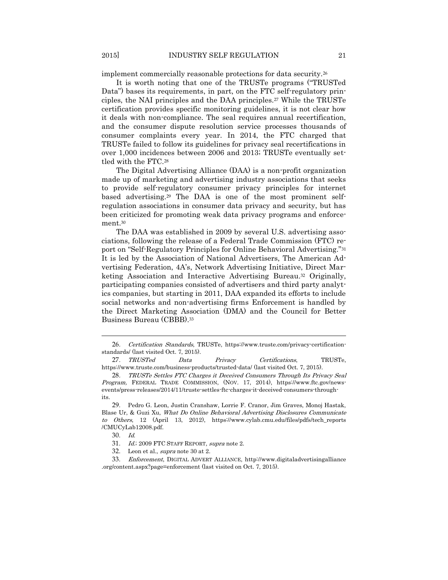implement commercially reasonable protections for data security.<sup>26</sup>

It is worth noting that one of the TRUSTe programs ("TRUSTed Data") bases its requirements, in part, on the FTC self-regulatory principles, the NAI principles and the DAA principles.<sup>27</sup> While the TRUSTe certification provides specific monitoring guidelines, it is not clear how it deals with non-compliance. The seal requires annual recertification, and the consumer dispute resolution service processes thousands of consumer complaints every year. In 2014, the FTC charged that TRUSTe failed to follow its guidelines for privacy seal recertifications in over 1,000 incidences between 2006 and 2013; TRUSTe eventually settled with the FTC.<sup>28</sup>

The Digital Advertising Alliance (DAA) is a non-profit organization made up of marketing and advertising industry associations that seeks to provide self-regulatory consumer privacy principles for internet based advertising.<sup>29</sup> The DAA is one of the most prominent selfregulation associations in consumer data privacy and security, but has been criticized for promoting weak data privacy programs and enforcement.<sup>30</sup>

The DAA was established in 2009 by several U.S. advertising associations, following the release of a Federal Trade Commission (FTC) report on "Self-Regulatory Principles for Online Behavioral Advertising."<sup>31</sup> It is led by the Association of National Advertisers, The American Advertising Federation, 4A's, Network Advertising Initiative, Direct Marketing Association and Interactive Advertising Bureau.<sup>32</sup> Originally, participating companies consisted of advertisers and third party analytics companies, but starting in 2011, DAA expanded its efforts to include social networks and non-advertising firms Enforcement is handled by the Direct Marketing Association (DMA) and the Council for Better Business Bureau (CBBB). 33

<sup>26</sup>. Certification Standards, TRUSTe, https://www.truste.com/privacy-certificationstandards/ (last visited Oct. 7, 2015).

<sup>27</sup>. TRUSTed Data Privacy Certifications, TRUSTe, https://www.truste.com/business-products/trusted-data/ (last visited Oct. 7, 2015).

<sup>28</sup>. TRUSTe Settles FTC Charges it Deceived Consumers Through Its Privacy Seal Program, FEDERAL TRADE COMMISSION, (NOV. 17, 2014), https://www.ftc.gov/newsevents/press-releases/2014/11/truste-settles-ftc-charges-it-deceived-consumers-throughits.

<sup>29</sup>. Pedro G. Leon, Justin Cranshaw, Lorrie F. Cranor, Jim Graves, Monoj Hastak, Blase Ur, & Guzi Xu, What Do Online Behavioral Advertising Disclosures Communicate to Others, 12 (April 13, 2012), https://www.cylab.cmu.edu/files/pdfs/tech\_reports /CMUCyLab12008.pdf.

<sup>30</sup>. Id.

<sup>31.</sup> Id.; 2009 FTC STAFF REPORT, supra note 2.

<sup>32</sup>. Leon et al., supra note 30 at 2.

<sup>33</sup>. Enforcement, DIGITAL ADVERT ALLIANCE, http://www.digitaladvertisingalliance .org/content.aspx?page=enforcement (last visited on Oct. 7, 2015).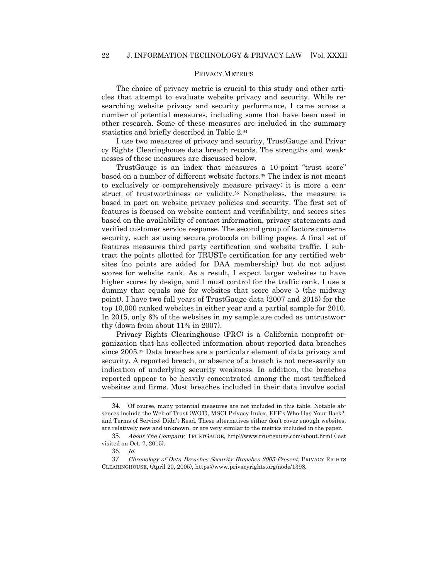### PRIVACY METRICS

The choice of privacy metric is crucial to this study and other articles that attempt to evaluate website privacy and security. While researching website privacy and security performance, I came across a number of potential measures, including some that have been used in other research. Some of these measures are included in the summary statistics and briefly described in Table 2. 34

I use two measures of privacy and security, TrustGauge and Privacy Rights Clearinghouse data breach records. The strengths and weaknesses of these measures are discussed below.

TrustGauge is an index that measures a 10-point "trust score" based on a number of different website factors.<sup>35</sup> The index is not meant to exclusively or comprehensively measure privacy; it is more a construct of trustworthiness or validity.<sup>36</sup> Nonetheless, the measure is based in part on website privacy policies and security. The first set of features is focused on website content and verifiability, and scores sites based on the availability of contact information, privacy statements and verified customer service response. The second group of factors concerns security, such as using secure protocols on billing pages. A final set of features measures third party certification and website traffic. I subtract the points allotted for TRUSTe certification for any certified websites (no points are added for DAA membership) but do not adjust scores for website rank. As a result, I expect larger websites to have higher scores by design, and I must control for the traffic rank. I use a dummy that equals one for websites that score above 5 (the midway point). I have two full years of TrustGauge data (2007 and 2015) for the top 10,000 ranked websites in either year and a partial sample for 2010. In 2015, only 6% of the websites in my sample are coded as untrustworthy (down from about 11% in 2007).

Privacy Rights Clearinghouse (PRC) is a California nonprofit organization that has collected information about reported data breaches since 2005.<sup>37</sup> Data breaches are a particular element of data privacy and security. A reported breach, or absence of a breach is not necessarily an indication of underlying security weakness. In addition, the breaches reported appear to be heavily concentrated among the most trafficked websites and firms. Most breaches included in their data involve social

<sup>34</sup>. Of course, many potential measures are not included in this table. Notable absences include the Web of Trust (WOT), MSCI Privacy Index, EFF's Who Has Your Back?, and Terms of Service; Didn't Read. These alternatives either don't cover enough websites, are relatively new and unknown, or are very similar to the metrics included in the paper.

<sup>35</sup>. About The Company, TRUSTGAUGE, http://www.trustgauge.com/about.html (last visited on Oct. 7, 2015).

<sup>36</sup>. Id.

<sup>37</sup> Chronology of Data Breaches Security Breaches 2005-Present, PRIVACY RIGHTS CLEARINGHOUSE, (April 20, 2005), https://www.privacyrights.org/node/1398.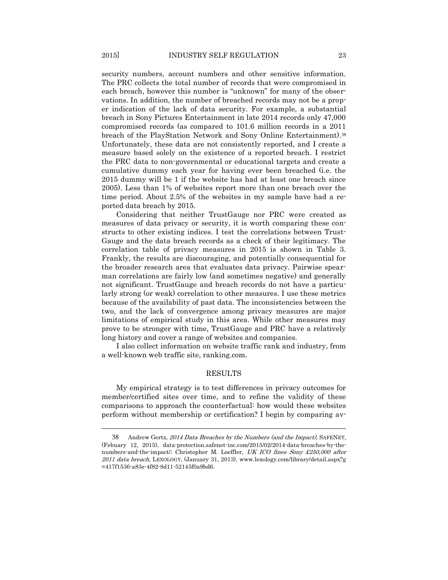security numbers, account numbers and other sensitive information. The PRC collects the total number of records that were compromised in each breach, however this number is "unknown" for many of the observations. In addition, the number of breached records may not be a proper indication of the lack of data security. For example, a substantial breach in Sony Pictures Entertainment in late 2014 records only 47,000 compromised records (as compared to 101.6 million records in a 2011 breach of the PlayStation Network and Sony Online Entertainment).<sup>38</sup> Unfortunately, these data are not consistently reported, and I create a measure based solely on the existence of a reported breach. I restrict the PRC data to non-governmental or educational targets and create a cumulative dummy each year for having ever been breached (i.e. the 2015 dummy will be 1 if the website has had at least one breach since 2005). Less than 1% of websites report more than one breach over the time period. About 2.5% of the websites in my sample have had a reported data breach by 2015.

Considering that neither TrustGauge nor PRC were created as measures of data privacy or security, it is worth comparing these constructs to other existing indices. I test the correlations between Trust-Gauge and the data breach records as a check of their legitimacy. The correlation table of privacy measures in 2015 is shown in Table 3. Frankly, the results are discouraging, and potentially consequential for the broader research area that evaluates data privacy. Pairwise spearman correlations are fairly low (and sometimes negative) and generally not significant. TrustGauge and breach records do not have a particularly strong (or weak) correlation to other measures. I use these metrics because of the availability of past data. The inconsistencies between the two, and the lack of convergence among privacy measures are major limitations of empirical study in this area. While other measures may prove to be stronger with time, TrustGauge and PRC have a relatively long history and cover a range of websites and companies.

I also collect information on website traffic rank and industry, from a well-known web traffic site, ranking.com.

### RESULTS

My empirical strategy is to test differences in privacy outcomes for member/certified sites over time, and to refine the validity of these comparisons to approach the counterfactual: how would these websites perform without membership or certification? I begin by comparing av-

 $\ddot{\phantom{a}}$ 

<sup>38</sup> Andrew Gertz, 2014 Data Breaches by the Numbers (and the Impact), SAFENET, (Febuary 12, 2015), data-protection.safenet-inc.com/2015/02/2014-data-breaches-by-thenumbers-and-the-impact/; Christopher M. Loeffler, UK ICO fines Sony £250,000 after 2011 data breach, LEXOLOGY, (January 31, 2013), www.lexology.com/library/detail.aspx?g =417f1536-a83e-4f82-8d11-52145f0a9bd6.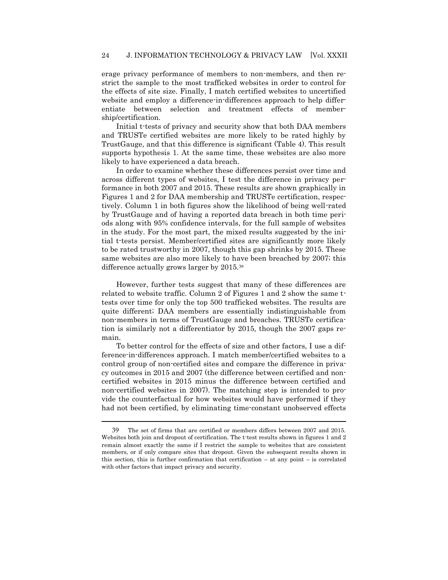erage privacy performance of members to non-members, and then restrict the sample to the most trafficked websites in order to control for the effects of site size. Finally, I match certified websites to uncertified website and employ a difference-in-differences approach to help differentiate between selection and treatment effects of membership/certification.

Initial t-tests of privacy and security show that both DAA members and TRUSTe certified websites are more likely to be rated highly by TrustGauge, and that this difference is significant (Table 4). This result supports hypothesis 1. At the same time, these websites are also more likely to have experienced a data breach.

In order to examine whether these differences persist over time and across different types of websites, I test the difference in privacy performance in both 2007 and 2015. These results are shown graphically in Figures 1 and 2 for DAA membership and TRUSTe certification, respectively. Column 1 in both figures show the likelihood of being well-rated by TrustGauge and of having a reported data breach in both time periods along with 95% confidence intervals, for the full sample of websites in the study. For the most part, the mixed results suggested by the initial t-tests persist. Member/certified sites are significantly more likely to be rated trustworthy in 2007, though this gap shrinks by 2015. These same websites are also more likely to have been breached by 2007; this difference actually grows larger by 2015.<sup>39</sup>

However, further tests suggest that many of these differences are related to website traffic. Column 2 of Figures 1 and 2 show the same ttests over time for only the top 500 trafficked websites. The results are quite different; DAA members are essentially indistinguishable from non-members in terms of TrustGauge and breaches. TRUSTe certification is similarly not a differentiator by 2015, though the 2007 gaps remain.

To better control for the effects of size and other factors, I use a difference-in-differences approach. I match member/certified websites to a control group of non-certified sites and compare the difference in privacy outcomes in 2015 and 2007 (the difference between certified and noncertified websites in 2015 minus the difference between certified and non-certified websites in 2007). The matching step is intended to provide the counterfactual for how websites would have performed if they had not been certified, by eliminating time-constant unobserved effects

<sup>39</sup> The set of firms that are certified or members differs between 2007 and 2015. Websites both join and dropout of certification. The t-test results shown in figures 1 and 2 remain almost exactly the same if I restrict the sample to websites that are consistent members, or if only compare sites that dropout. Given the subsequent results shown in this section, this is further confirmation that certification  $-$  at any point  $-$  is correlated with other factors that impact privacy and security.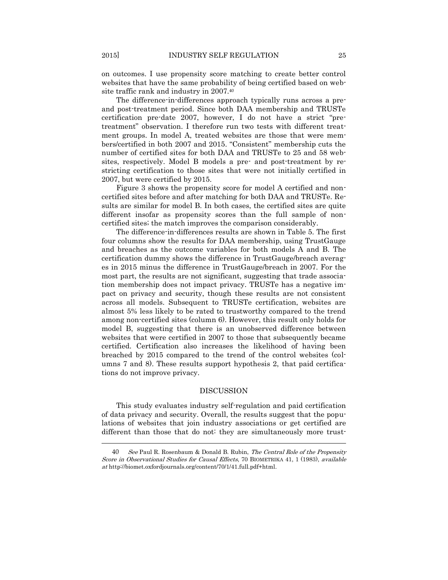on outcomes. I use propensity score matching to create better control websites that have the same probability of being certified based on website traffic rank and industry in 2007.<sup>40</sup>

The difference-in-differences approach typically runs across a preand post-treatment period. Since both DAA membership and TRUSTe certification pre-date 2007, however, I do not have a strict "pretreatment" observation. I therefore run two tests with different treatment groups. In model A, treated websites are those that were members/certified in both 2007 and 2015. "Consistent" membership cuts the number of certified sites for both DAA and TRUSTe to 25 and 58 websites, respectively. Model B models a pre- and post-treatment by restricting certification to those sites that were not initially certified in 2007, but were certified by 2015.

Figure 3 shows the propensity score for model A certified and noncertified sites before and after matching for both DAA and TRUSTe. Results are similar for model B. In both cases, the certified sites are quite different insofar as propensity scores than the full sample of noncertified sites; the match improves the comparison considerably.

The difference-in-differences results are shown in Table 5. The first four columns show the results for DAA membership, using TrustGauge and breaches as the outcome variables for both models A and B. The certification dummy shows the difference in TrustGauge/breach averages in 2015 minus the difference in TrustGauge/breach in 2007. For the most part, the results are not significant, suggesting that trade association membership does not impact privacy. TRUSTe has a negative impact on privacy and security, though these results are not consistent across all models. Subsequent to TRUSTe certification, websites are almost 5% less likely to be rated to trustworthy compared to the trend among non-certified sites (column 6). However, this result only holds for model B, suggesting that there is an unobserved difference between websites that were certified in 2007 to those that subsequently became certified. Certification also increases the likelihood of having been breached by 2015 compared to the trend of the control websites (columns 7 and 8). These results support hypothesis 2, that paid certifications do not improve privacy.

### DISCUSSION

This study evaluates industry self-regulation and paid certification of data privacy and security. Overall, the results suggest that the populations of websites that join industry associations or get certified are different than those that do not: they are simultaneously more trust-

<sup>40</sup> See Paul R. Rosenbaum & Donald B. Rubin, The Central Role of the Propensity Score in Observational Studies for Causal Effects, 70 BIOMETRIKA 41, 1 (1983), available at http://biomet.oxfordjournals.org/content/70/1/41.full.pdf+html.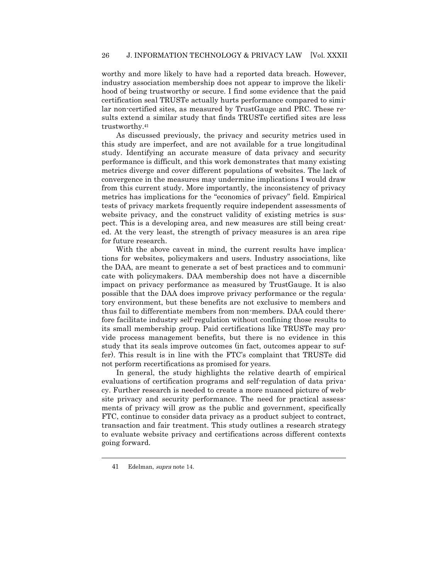worthy and more likely to have had a reported data breach. However, industry association membership does not appear to improve the likelihood of being trustworthy or secure. I find some evidence that the paid certification seal TRUSTe actually hurts performance compared to similar non-certified sites, as measured by TrustGauge and PRC. These results extend a similar study that finds TRUSTe certified sites are less trustworthy.<sup>41</sup>

As discussed previously, the privacy and security metrics used in this study are imperfect, and are not available for a true longitudinal study. Identifying an accurate measure of data privacy and security performance is difficult, and this work demonstrates that many existing metrics diverge and cover different populations of websites. The lack of convergence in the measures may undermine implications I would draw from this current study. More importantly, the inconsistency of privacy metrics has implications for the "economics of privacy" field. Empirical tests of privacy markets frequently require independent assessments of website privacy, and the construct validity of existing metrics is suspect. This is a developing area, and new measures are still being created. At the very least, the strength of privacy measures is an area ripe for future research.

With the above caveat in mind, the current results have implications for websites, policymakers and users. Industry associations, like the DAA, are meant to generate a set of best practices and to communicate with policymakers. DAA membership does not have a discernible impact on privacy performance as measured by TrustGauge. It is also possible that the DAA does improve privacy performance or the regulatory environment, but these benefits are not exclusive to members and thus fail to differentiate members from non-members. DAA could therefore facilitate industry self-regulation without confining those results to its small membership group. Paid certifications like TRUSTe may provide process management benefits, but there is no evidence in this study that its seals improve outcomes (in fact, outcomes appear to suffer). This result is in line with the FTC's complaint that TRUSTe did not perform recertifications as promised for years.

In general, the study highlights the relative dearth of empirical evaluations of certification programs and self-regulation of data privacy. Further research is needed to create a more nuanced picture of website privacy and security performance. The need for practical assessments of privacy will grow as the public and government, specifically FTC, continue to consider data privacy as a product subject to contract, transaction and fair treatment. This study outlines a research strategy to evaluate website privacy and certifications across different contexts going forward.

 $\ddot{\phantom{a}}$ 

<sup>41</sup> Edelman, supra note 14.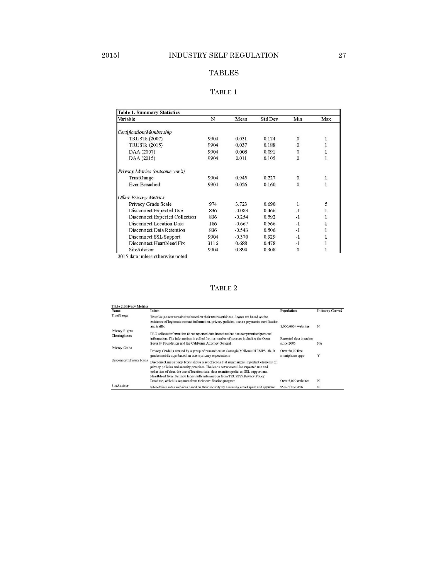# TABLES

## TABLE 1

| Variable                        | N    | Mean     | Std Dev | Min          | Max          |
|---------------------------------|------|----------|---------|--------------|--------------|
| Certification/Membership        |      |          |         |              |              |
| <b>TRUSTe (2007)</b>            | 9904 | 0.031    | 0.174   | $\mathbf{0}$ |              |
| <b>TRUSTe (2015)</b>            | 9904 | 0.037    | 0.188   | $\mathbf{0}$ |              |
| DAA (2007)                      | 9904 | 0.008    | 0.091   | $\theta$     | 1            |
| DAA (2015)                      | 9904 | 0.011    | 0.105   | $\mathbf{0}$ | $\mathbf{I}$ |
| Privacy Metrics (outcome var's) |      |          |         |              |              |
| TrustGauge                      | 9904 | 0.945    | 0.227   | $\mathbf{0}$ | $\mathbf{1}$ |
| Ever Breached                   | 9904 | 0.026    | 0.160   | $\Omega$     | 1            |
| <b>Other Privacy Metrics</b>    |      |          |         |              |              |
| Privacy Grade Scale             | 974  | 3.723    | 0.690   | 1            | 5            |
| Disconnect Expected Use         | 836  | $-0.083$ | 0.466   | -1           | 1            |
| Disconnect Expected Collection  | 836  | $-0.254$ | 0.592   | $-1$         |              |
| Disconnect Location Data        | 186  | $-0.667$ | 0.566   | $-1$         |              |
| Disconnect Data Retention       | 836  | $-0.543$ | 0.506   | $-1$         |              |
| Disconnect SSL Support          | 9904 | $-0.370$ | 0.929   | $-1$         |              |
| Disconnect Heartbleed Fix       | 3116 | 0.688    | 0.478   | $-1$         |              |
| SiteAdvisor                     | 9904 | 0.894    | 0.308   | $\mathbf{0}$ |              |

2015 data unless otherwise noted

# TABLE 2

| Name                            | Intent                                                                                                                                                                                                                                                                                                                                                     | Population                           | <b>Industry Curve?</b> |
|---------------------------------|------------------------------------------------------------------------------------------------------------------------------------------------------------------------------------------------------------------------------------------------------------------------------------------------------------------------------------------------------------|--------------------------------------|------------------------|
| TrustGauge                      | TrustGauge scores websites based on their trustworthiness. Scores are based on the<br>existence of legitmate contact information, privacy policies, secure payments, certification<br>and traffic                                                                                                                                                          | $1.000.000+$ websites                | N                      |
| Privacy Rights<br>Clearinghouse | PRC collects information about reported data breaches that has compromised personal                                                                                                                                                                                                                                                                        |                                      |                        |
|                                 | information. The information is pulled from a number of sources including the Open<br>Security Foundation and the California Attorney General.                                                                                                                                                                                                             | Reported data breaches<br>since 2005 | <b>NA</b>              |
| Privacy Grade                   | Privacy Grade is created by a group of researchers at Carnegie Mellon's CHIMPS lab. It<br>grades mobile apps based on user's privacy expectations                                                                                                                                                                                                          | Over 50,00 free<br>smartphone apps   | Y                      |
| Disconnect Privacy Icons        | Disconnect me Privacy Icons shows a set of icons that summarizes important elements of<br>privacy policies and security practices. The icons cover areas like expected use and<br>collection of data, the use of location data, data retention policies, SSL support and<br>Heartbleed fixes. Privacy Icons pulls information from TRUSTe's Privacy Policy |                                      |                        |
|                                 | Database, which is separate from their certification program                                                                                                                                                                                                                                                                                               | Over 5,000 websites                  | N                      |
| SiteAdvisor                     | SiteAdvisor rates websites based on their security by assessing email spam and spyware.                                                                                                                                                                                                                                                                    | 95% of the Web                       | N                      |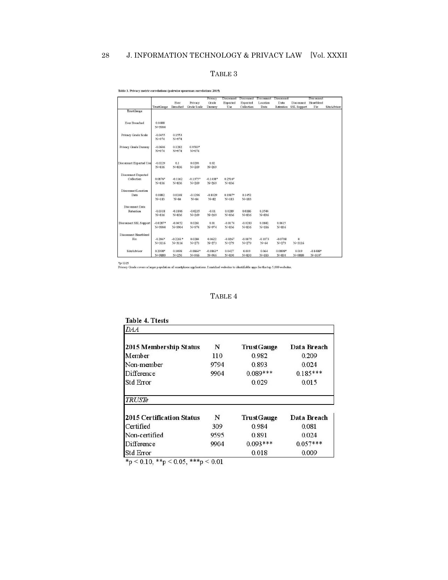# 28 J. INFORMATION TECHNOLOGY & PRIVACY LAW [Vol. XXXII

### TABLE 3

|                              |            |            | Ever<br>Privacy | Privacy<br>Grade | Disconnect<br>Expected | Disconnect<br>Expected | Disconnect<br>Location | Disconnect<br>Data | Disconnect         | Disconnect<br>Heartbleed |             |
|------------------------------|------------|------------|-----------------|------------------|------------------------|------------------------|------------------------|--------------------|--------------------|--------------------------|-------------|
|                              | TrustGauge | Breached   | Grade Scale     | Dunmy            | Use                    | Collection             | Data                   | Retention          | <b>SSL Support</b> | Fix                      | SiteAdvisor |
| TrustGauge                   |            |            |                 |                  |                        |                        |                        |                    |                    |                          |             |
| Ever Breached                | 0.0688     |            |                 |                  |                        |                        |                        |                    |                    |                          |             |
|                              | N=9904     |            |                 |                  |                        |                        |                        |                    |                    |                          |             |
| Privacy Grade Scale          | $-0.0455$  | 0.1553     |                 |                  |                        |                        |                        |                    |                    |                          |             |
|                              | $N = 974$  | $N = 974$  |                 |                  |                        |                        |                        |                    |                    |                          |             |
| Privacy Grade Dunmy          | $-0.0606$  | 0.1282     | 0.9583*         |                  |                        |                        |                        |                    |                    |                          |             |
|                              | $N = 974$  | $N = 974$  | $N = 974$       |                  |                        |                        |                        |                    |                    |                          |             |
| Disconnect Expected Use      | $-0.0229$  | 0.1        | 0.0293          | 0.02             |                        |                        |                        |                    |                    |                          |             |
|                              | $N = 836$  | $N = 836$  | $N = 269$       | $N = 269$        |                        |                        |                        |                    |                    |                          |             |
| Disconnect Expected          |            |            |                 |                  |                        |                        |                        |                    |                    |                          |             |
| Collection                   | $0.0876*$  | $-0.1162$  | $-0.1375*$      | $-0.1438*$       | $0.2516*$              |                        |                        |                    |                    |                          |             |
|                              | $N = 836$  | $N = 836$  | $N = 269$       | $N = 269$        | $N = 836$              |                        |                        |                    |                    |                          |             |
| Disconnect Location          |            |            |                 |                  |                        |                        |                        |                    |                    |                          |             |
| Data                         | 0.0882     | 0.0248     | $-0.1296$       | $-0.1029$        | $0.1987*$              | 0.1452                 |                        |                    |                    |                          |             |
|                              | $N = 183$  | $N = 84$   | $N = 84$        | $N = 82$         | $N = 183$              | $N = 183$              |                        |                    |                    |                          |             |
| Disconnect Data              |            |            |                 |                  |                        |                        |                        |                    |                    |                          |             |
| Retention                    | $-0.0318$  | $-0.1806$  | $-0.0235$       | $-0.01$          | 0.0289                 | 0.0186                 | 0.3544                 |                    |                    |                          |             |
|                              | $N = 836$  | $N = 836$  | $N = 269$       | $N = 269$        | $N = 836$              | $N = 836$              | $N = 836$              |                    |                    |                          |             |
| Disconnect SSL Support       | $-0.0287*$ | $-0.0452$  | 0.0261          | 0.01             | $-0.0174$              | $-0.0283$              | 0.0842                 | 0.0615             |                    |                          |             |
|                              | N=9904     | N=9904     | $N = 974$       | $N = 974$        | $N = 836$              | $N = 836$              | $N = 186$              | $N = 836$          |                    |                          |             |
| <b>Disconnect Heartbleed</b> |            |            |                 |                  |                        |                        |                        |                    |                    |                          |             |
| Fix                          | $-0.206*$  | $-0.2261*$ | 0.0284          | 0.0622           | $-0.0267$              | $-0.0875$              | $-0.1073$              | $-0.0738$          | $\overline{0}$     |                          |             |
|                              | $N = 3116$ | $N = 3116$ | $N = 273$       | $N = 273$        | $N = 279$              | $N = 279$              | $N=64$                 | $N = 279$          | $N = 3116$         |                          |             |
| SiteAdvisor                  | $0.2098*$  | 0.1098     | $-0.0864*$      | $-0.0863*$       | 0.0427                 | 0.039                  | 0.064                  | 0.0898*            | 0.019              | $-0.1488*$               |             |
|                              | N=9880     | $N = 256$  | $N = 966$       | $N = 966$        | $N = 830$              | $N = 830$              | $N = 183$              | $N = 830$          | $N = 9880$         | $N = 3107$               |             |

#### Table 3. Privacy metric correlations (pairwise spearman correlations 2015)

 $^*p<0.05$ <br>Privacy Grade covers a larger population of smartphone applications. I matched websites to identifiable apps for the top 5,000 websites.

# TABLE 4

| <b>Table 4. Ttests</b>           |      |            |             |
|----------------------------------|------|------------|-------------|
| DA A                             |      |            |             |
| 2015 Membership Status           | N    | TrustGauge | Data Breach |
| Member                           | 110  | 0.982      | 0.209       |
| Non-member                       | 9794 | 0.893      | 0.024       |
| Difference                       | 9904 | $0.089***$ | $0.185***$  |
| <b>Std Error</b>                 |      | 0.029      | 0.015       |
| <b>TRUSTe</b>                    |      |            |             |
| <b>2015 Certification Status</b> | N    | TrustGauge | Data Breach |
| Certified                        | 309  | 0.984      | 0.081       |
| Non-certified                    | 9595 | 0.891      | 0.024       |
| Difference                       | 9904 | $0.093***$ | $0.057***$  |
| <b>Std Error</b>                 |      | 0.018      | 0.009       |

\*p < 0.10, \*\*p < 0.05, \*\*\*p < 0.01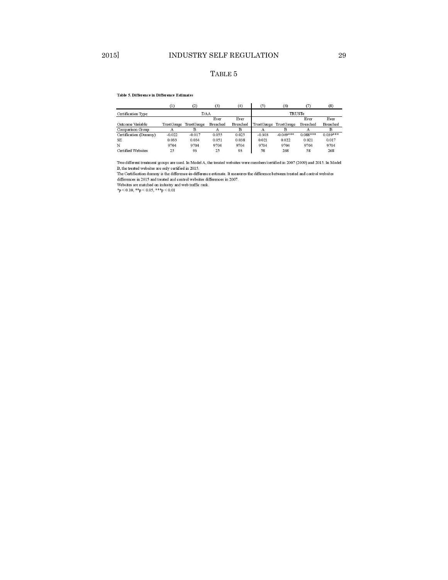## TABLE 5

#### Table 5. Difference in Difference Estimates

|                           | (1)        | (2)        | (3)      | (4)      | (5)           | (6)                   |            | (8)        |  |
|---------------------------|------------|------------|----------|----------|---------------|-----------------------|------------|------------|--|
| Certification Type        |            | DAA        |          |          | <b>TRUSTe</b> |                       |            |            |  |
|                           |            |            | Ever     | Ever     |               |                       | Ever       | Ever       |  |
| Outcome Variable          | TrustGauge | TrustGauge | Breached | Breached |               | TrustGauge TrustGauge | Breached   | Breached   |  |
| Comparison Group          | А          |            | А        | B        | $\mathbf{A}$  |                       |            |            |  |
| Certification (Dummy)     | $-0.022$   | $-0.017$   | 0.055    | 0.025    | $-0.303$      | $-0.049***$           | $0.088***$ | $0.039***$ |  |
| SE                        | 0.033      | 0.034      | 0.051    | 0.038    | 0.021         | 0.022                 | 0.021      | 0.017      |  |
| N                         | 9704       | 9704       | 9704     | 9704     | 9704          | 9704                  | 9704       | 9704       |  |
| <b>Certified Websites</b> | 25         | 93         | 25       | 93       | 58            | 268                   | 58         | 268        |  |

Two different treatment groups are used. In Model A, the treated websites were members/certified in 2007 (2009) and 2015. In Model B, the treated websites are only certified in 2015.<br>The Certification dummy is the difference-in-difference estimate. It measures the difference between treated and control websites

differences in 2015 and treated and control websites differences in 2007.<br>Websites are matched on industry and web traffic rank.<br>\*p < 0.01, \*\*p < 0.05, \*\*\*p < 0.01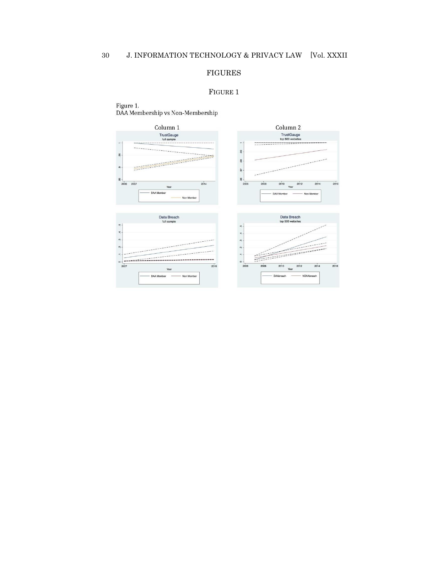# FIGURES

### FIGURE 1

Figure 1.<br>DAA Membership vs Non-Membership

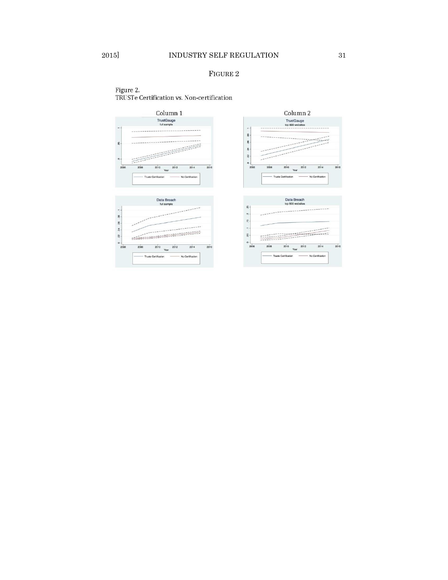## FIGURE 2